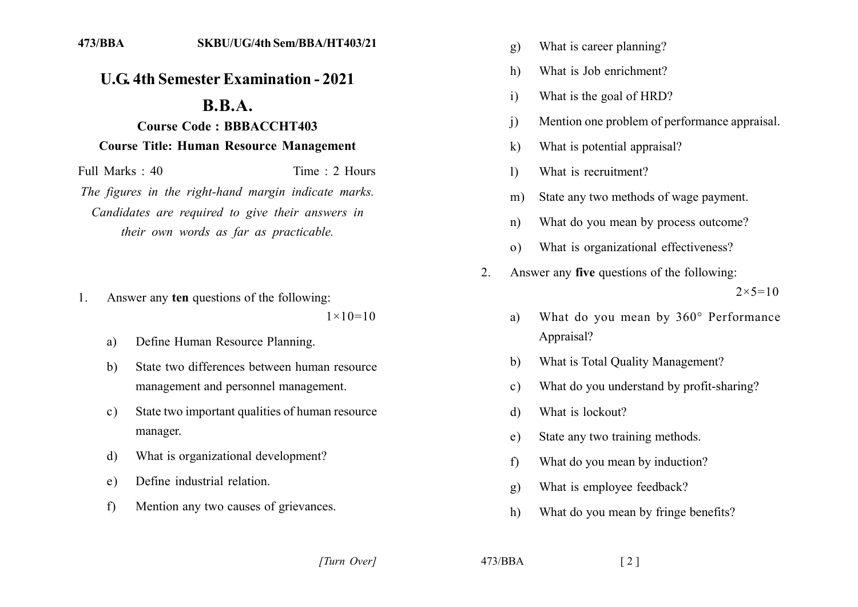## **U.G. 4th Semester Examination - 2021**

## $\mathbf{R} \cdot \mathbf{R} \cdot \mathbf{A}$ .

## **Course Code: BBBACCHT403 Course Title: Human Resource Management**

Full Marks  $\cdot$  40 Time  $\cdot$  2 Hours The figures in the right-hand margin indicate marks. Candidates are required to give their answers in their own words as far as practicable.

Answer any ten questions of the following: 1.

 $1 \times 10 = 10$ 

- Define Human Resource Planning. a)
- State two differences between human resource  $h)$ management and personnel management.
- State two important qualities of human resource  $c)$ manager.
- What is organizational development? d)
- Define industrial relation. e)
- Mention any two causes of grievances.  $f$
- What is career planning?  $g)$
- What is Job enrichment?  $h)$
- What is the goal of HRD?  $i)$
- Mention one problem of performance appraisal.  $\mathbf{i}$
- What is potential appraisal?  $\bf k$
- What is recruitment?  $\mathbf{I}$
- State any two methods of wage payment.  $m)$
- What do you mean by process outcome?  $n)$
- What is organizational effectiveness?  $\Omega$
- Answer any five questions of the following:  $\overline{2}$  $2 \times 5 = 10$ 
	- What do you mean by 360° Performance a) Appraisal?
	- What is Total Ouality Management? b)
	- What do you understand by profit-sharing?  $\mathbf{c}$ )
	- What is lockout? d)
	- State any two training methods.  $e)$
	- What do you mean by induction?  $f$
	- What is employee feedback?  $g$ )
	- $h)$ What do you mean by fringe benefits?

 $473/BBA$